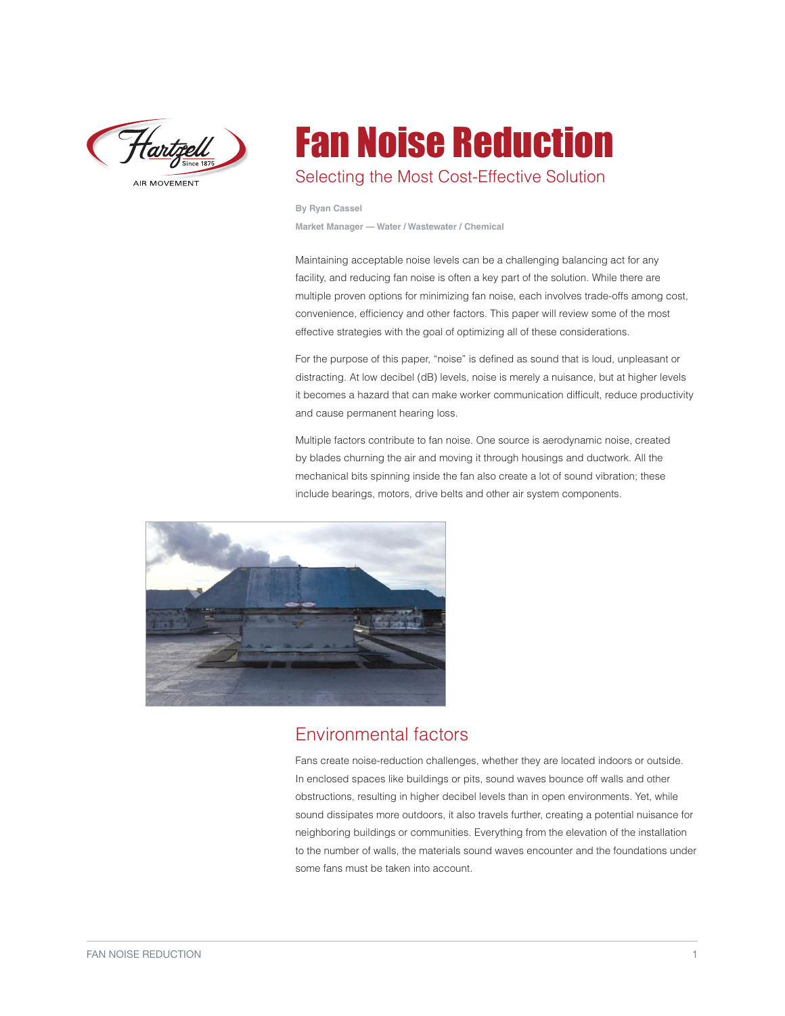

AIR MOVEMENT

# Fan Noise Reduction Selecting the Most Cost-Effective Solution

**By Ryan Cassel**

**Market Manager — Water / Wastewater / Chemical**

Maintaining acceptable noise levels can be a challenging balancing act for any facility, and reducing fan noise is often a key part of the solution. While there are multiple proven options for minimizing fan noise, each involves trade-offs among cost, convenience, efficiency and other factors. This paper will review some of the most effective strategies with the goal of optimizing all of these considerations.

For the purpose of this paper, "noise" is defined as sound that is loud, unpleasant or distracting. At low decibel (dB) levels, noise is merely a nuisance, but at higher levels it becomes a hazard that can make worker communication difficult, reduce productivity and cause permanent hearing loss.

Multiple factors contribute to fan noise. One source is aerodynamic noise, created by blades churning the air and moving it through housings and ductwork. All the mechanical bits spinning inside the fan also create a lot of sound vibration; these include bearings, motors, drive belts and other air system components.



## Environmental factors

Fans create noise-reduction challenges, whether they are located indoors or outside. In enclosed spaces like buildings or pits, sound waves bounce off walls and other obstructions, resulting in higher decibel levels than in open environments. Yet, while sound dissipates more outdoors, it also travels further, creating a potential nuisance for neighboring buildings or communities. Everything from the elevation of the installation to the number of walls, the materials sound waves encounter and the foundations under some fans must be taken into account.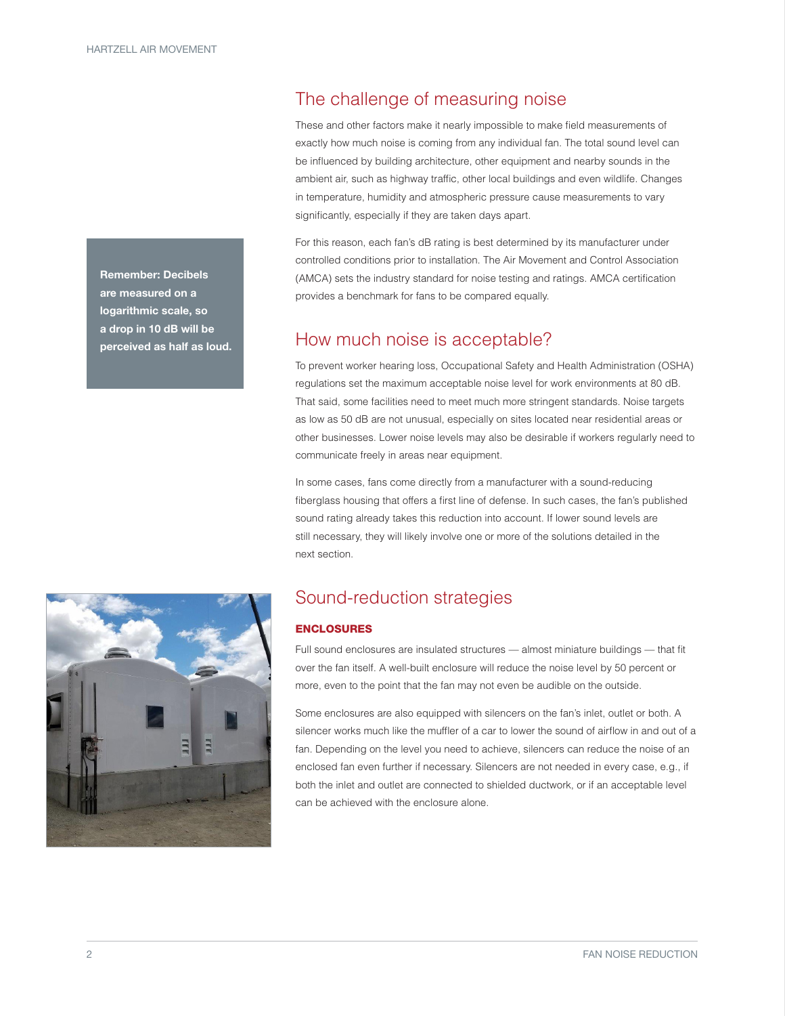Remember: Decibels are measured on a logarithmic scale, so a drop in 10 dB will be perceived as half as loud.

# The challenge of measuring noise

These and other factors make it nearly impossible to make field measurements of exactly how much noise is coming from any individual fan. The total sound level can be influenced by building architecture, other equipment and nearby sounds in the ambient air, such as highway traffic, other local buildings and even wildlife. Changes in temperature, humidity and atmospheric pressure cause measurements to vary significantly, especially if they are taken days apart.

For this reason, each fan's dB rating is best determined by its manufacturer under controlled conditions prior to installation. The Air Movement and Control Association (AMCA) sets the industry standard for noise testing and ratings. AMCA certification provides a benchmark for fans to be compared equally.

### How much noise is acceptable?

To prevent worker hearing loss, Occupational Safety and Health Administration (OSHA) regulations set the maximum acceptable noise level for work environments at 80 dB. That said, some facilities need to meet much more stringent standards. Noise targets as low as 50 dB are not unusual, especially on sites located near residential areas or other businesses. Lower noise levels may also be desirable if workers regularly need to communicate freely in areas near equipment.

In some cases, fans come directly from a manufacturer with a sound-reducing fiberglass housing that offers a first line of defense. In such cases, the fan's published sound rating already takes this reduction into account. If lower sound levels are still necessary, they will likely involve one or more of the solutions detailed in the next section.



#### ENCLOSURES

Full sound enclosures are insulated structures — almost miniature buildings — that fit over the fan itself. A well-built enclosure will reduce the noise level by 50 percent or more, even to the point that the fan may not even be audible on the outside.

Some enclosures are also equipped with silencers on the fan's inlet, outlet or both. A silencer works much like the muffler of a car to lower the sound of airflow in and out of a fan. Depending on the level you need to achieve, silencers can reduce the noise of an enclosed fan even further if necessary. Silencers are not needed in every case, e.g., if both the inlet and outlet are connected to shielded ductwork, or if an acceptable level can be achieved with the enclosure alone.

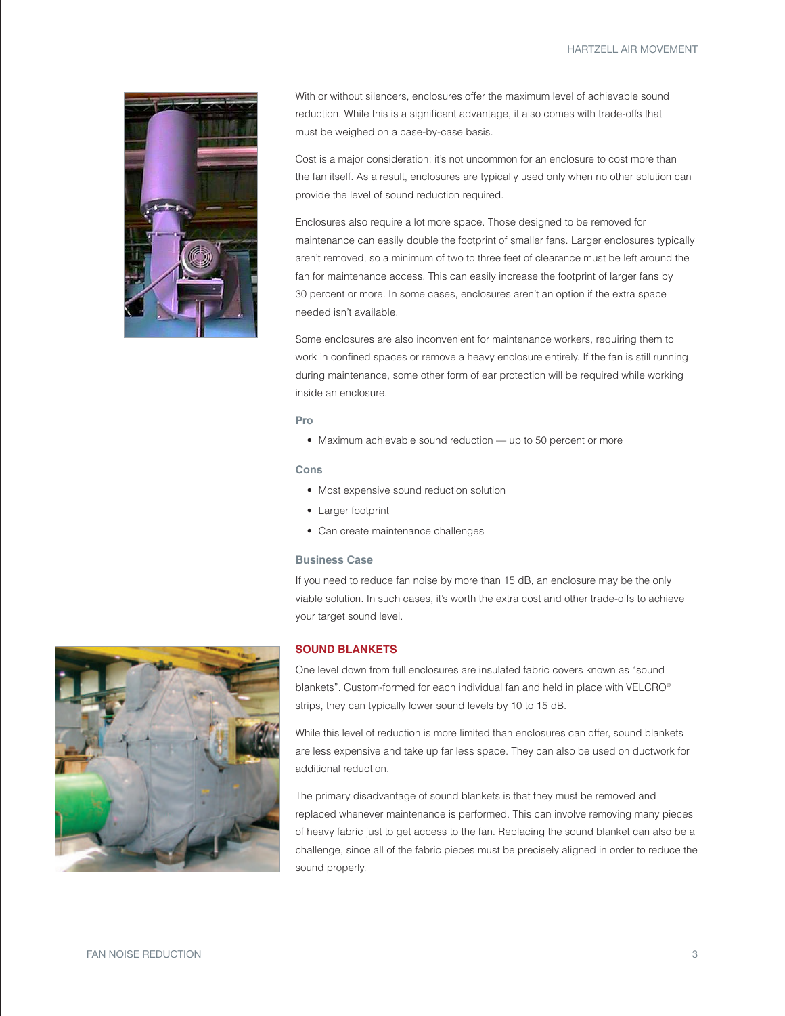HARTZELL AIR MOVEMENT



With or without silencers, enclosures offer the maximum level of achievable sound reduction. While this is a significant advantage, it also comes with trade-offs that must be weighed on a case-by-case basis.

Cost is a major consideration; it's not uncommon for an enclosure to cost more than the fan itself. As a result, enclosures are typically used only when no other solution can provide the level of sound reduction required.

Enclosures also require a lot more space. Those designed to be removed for maintenance can easily double the footprint of smaller fans. Larger enclosures typically aren't removed, so a minimum of two to three feet of clearance must be left around the fan for maintenance access. This can easily increase the footprint of larger fans by 30 percent or more. In some cases, enclosures aren't an option if the extra space needed isn't available.

Some enclosures are also inconvenient for maintenance workers, requiring them to work in confined spaces or remove a heavy enclosure entirely. If the fan is still running during maintenance, some other form of ear protection will be required while working inside an enclosure.

#### **Pro**

• Maximum achievable sound reduction — up to 50 percent or more

#### **Cons**

- Most expensive sound reduction solution
- Larger footprint
- Can create maintenance challenges

#### **Business Case**

If you need to reduce fan noise by more than 15 dB, an enclosure may be the only viable solution. In such cases, it's worth the extra cost and other trade-offs to achieve your target sound level.



#### **SOUND BLANKETS**

One level down from full enclosures are insulated fabric covers known as "sound blankets". Custom-formed for each individual fan and held in place with VELCRO® strips, they can typically lower sound levels by 10 to 15 dB.

While this level of reduction is more limited than enclosures can offer, sound blankets are less expensive and take up far less space. They can also be used on ductwork for additional reduction.

The primary disadvantage of sound blankets is that they must be removed and replaced whenever maintenance is performed. This can involve removing many pieces of heavy fabric just to get access to the fan. Replacing the sound blanket can also be a challenge, since all of the fabric pieces must be precisely aligned in order to reduce the sound properly.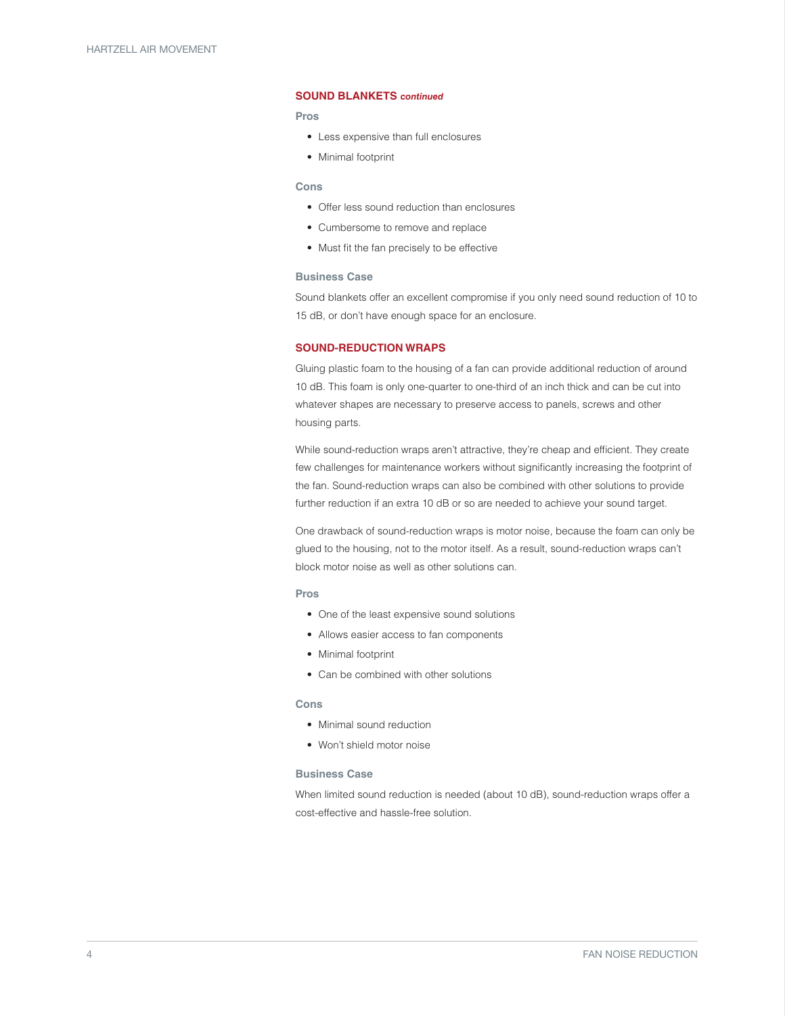#### **SOUND BLANKETS** *continued*

#### **Pros**

- Less expensive than full enclosures
- Minimal footprint

#### **Cons**

- Offer less sound reduction than enclosures
- Cumbersome to remove and replace
- Must fit the fan precisely to be effective

#### **Business Case**

Sound blankets offer an excellent compromise if you only need sound reduction of 10 to 15 dB, or don't have enough space for an enclosure.

#### **SOUND-REDUCTION WRAPS**

Gluing plastic foam to the housing of a fan can provide additional reduction of around 10 dB. This foam is only one-quarter to one-third of an inch thick and can be cut into whatever shapes are necessary to preserve access to panels, screws and other housing parts.

While sound-reduction wraps aren't attractive, they're cheap and efficient. They create few challenges for maintenance workers without significantly increasing the footprint of the fan. Sound-reduction wraps can also be combined with other solutions to provide further reduction if an extra 10 dB or so are needed to achieve your sound target.

One drawback of sound-reduction wraps is motor noise, because the foam can only be glued to the housing, not to the motor itself. As a result, sound-reduction wraps can't block motor noise as well as other solutions can.

#### **Pros**

- One of the least expensive sound solutions
- Allows easier access to fan components
- Minimal footprint
- Can be combined with other solutions

#### **Cons**

- Minimal sound reduction
- Won't shield motor noise

#### **Business Case**

When limited sound reduction is needed (about 10 dB), sound-reduction wraps offer a cost-effective and hassle-free solution.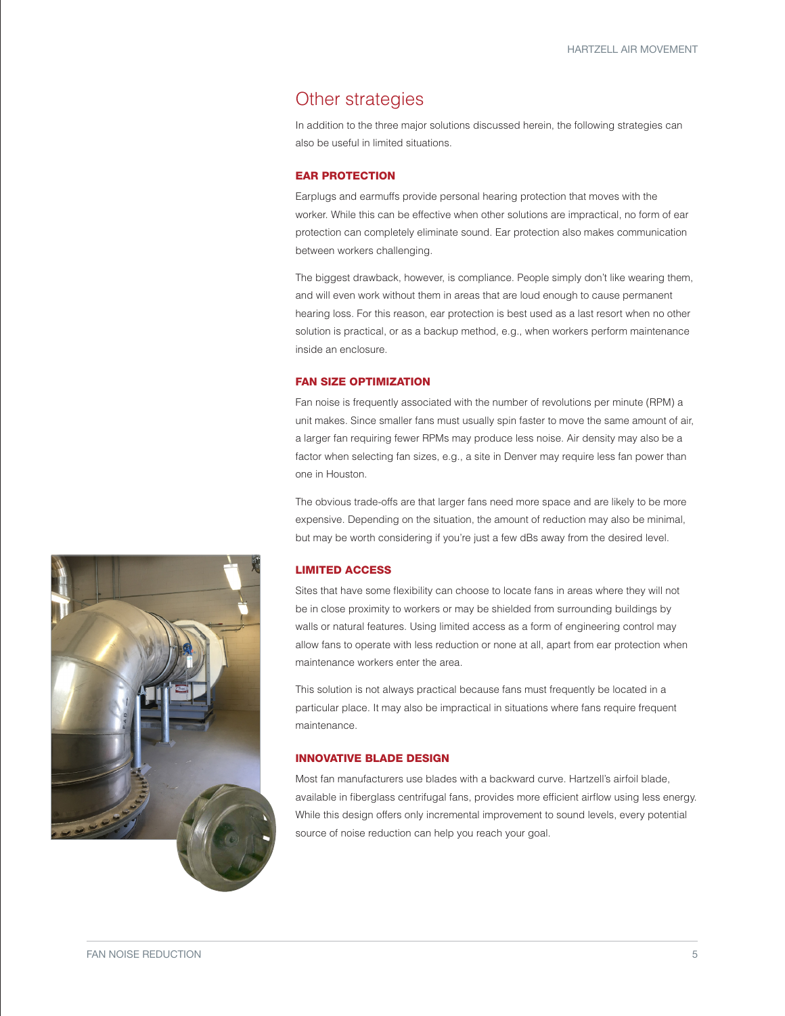### Other strategies

In addition to the three major solutions discussed herein, the following strategies can also be useful in limited situations.

#### EAR PROTECTION

Earplugs and earmuffs provide personal hearing protection that moves with the worker. While this can be effective when other solutions are impractical, no form of ear protection can completely eliminate sound. Ear protection also makes communication between workers challenging.

The biggest drawback, however, is compliance. People simply don't like wearing them, and will even work without them in areas that are loud enough to cause permanent hearing loss. For this reason, ear protection is best used as a last resort when no other solution is practical, or as a backup method, e.g., when workers perform maintenance inside an enclosure.

#### FAN SIZE OPTIMIZATION

Fan noise is frequently associated with the number of revolutions per minute (RPM) a unit makes. Since smaller fans must usually spin faster to move the same amount of air, a larger fan requiring fewer RPMs may produce less noise. Air density may also be a factor when selecting fan sizes, e.g., a site in Denver may require less fan power than one in Houston.

The obvious trade-offs are that larger fans need more space and are likely to be more expensive. Depending on the situation, the amount of reduction may also be minimal, but may be worth considering if you're just a few dBs away from the desired level.

#### LIMITED ACCESS

Sites that have some flexibility can choose to locate fans in areas where they will not be in close proximity to workers or may be shielded from surrounding buildings by walls or natural features. Using limited access as a form of engineering control may allow fans to operate with less reduction or none at all, apart from ear protection when maintenance workers enter the area.

This solution is not always practical because fans must frequently be located in a particular place. It may also be impractical in situations where fans require frequent maintenance.

#### INNOVATIVE BLADE DESIGN

Most fan manufacturers use blades with a backward curve. Hartzell's airfoil blade, available in fiberglass centrifugal fans, provides more efficient airflow using less energy. While this design offers only incremental improvement to sound levels, every potential source of noise reduction can help you reach your goal.